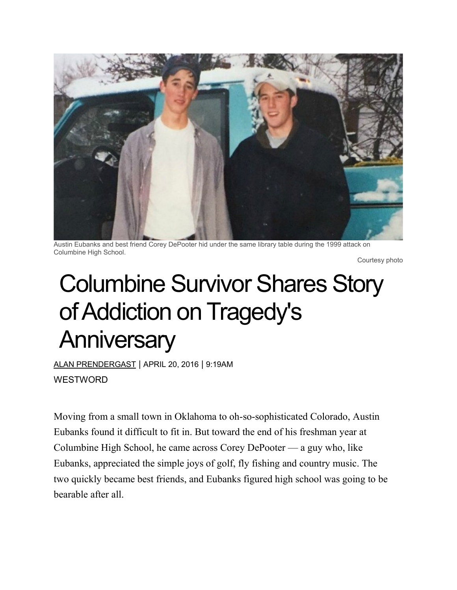

Austin Eubanks and best friend Corey DePooter hid under the same library table during the 1999 attack on Columbine High School.

Courtesy photo

## Columbine Survivor Shares Story of Addiction on Tragedy's **Anniversary**

ALAN [PRENDERGAST](https://www.westword.com/authors/alan-prendergast-5052731) | APRIL 20, 2016 | 9:19AM **WESTWORD** 

Moving from a small town in Oklahoma to oh-so-sophisticated Colorado, Austin Eubanks found it difficult to fit in. But toward the end of his freshman year at Columbine High School, he came across Corey DePooter — a guy who, like Eubanks, appreciated the simple joys of golf, fly fishing and country music. The two quickly became best friends, and Eubanks figured high school was going to be bearable after all.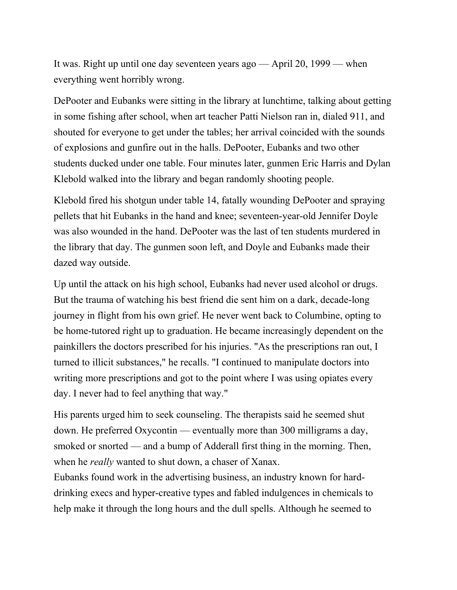It was. Right up until one day seventeen years ago — April 20, 1999 — when everything went horribly wrong.

DePooter and Eubanks were sitting in the library at lunchtime, talking about getting in some fishing after school, when art teacher Patti Nielson ran in, dialed 911, and shouted for everyone to get under the tables; her arrival coincided with the sounds of explosions and gunfire out in the halls. DePooter, Eubanks and two other students ducked under one table. Four minutes later, gunmen Eric Harris and Dylan Klebold walked into the library and began randomly shooting people.

Klebold fired his shotgun under table 14, fatally wounding DePooter and spraying pellets that hit Eubanks in the hand and knee; seventeen-year-old Jennifer Doyle was also wounded in the hand. DePooter was the last of ten students murdered in the library that day. The gunmen soon left, and Doyle and Eubanks made their dazed way outside.

Up until the attack on his high school, Eubanks had never used alcohol or drugs. But the trauma of watching his best friend die sent him on a dark, decade-long journey in flight from his own grief. He never went back to Columbine, opting to be home-tutored right up to graduation. He became increasingly dependent on the painkillers the doctors prescribed for his injuries. "As the prescriptions ran out, I turned to illicit substances," he recalls. "I continued to manipulate doctors into writing more prescriptions and got to the point where I was using opiates every day. I never had to feel anything that way."

His parents urged him to seek counseling. The therapists said he seemed shut down. He preferred Oxycontin — eventually more than 300 milligrams a day, smoked or snorted — and a bump of Adderall first thing in the morning. Then, when he *really* wanted to shut down, a chaser of Xanax.

Eubanks found work in the advertising business, an industry known for harddrinking execs and hyper-creative types and fabled indulgences in chemicals to help make it through the long hours and the dull spells. Although he seemed to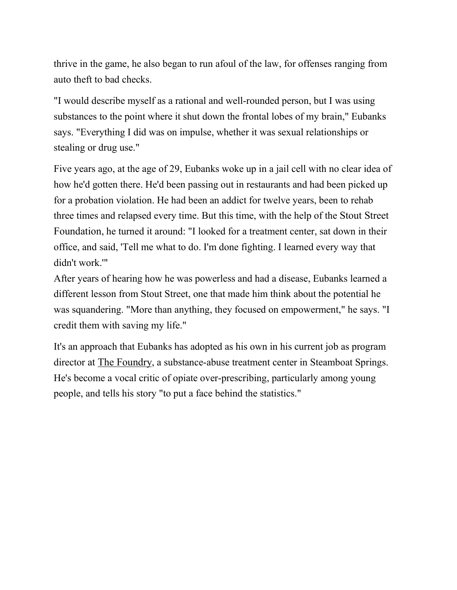thrive in the game, he also began to run afoul of the law, for offenses ranging from auto theft to bad checks.

"I would describe myself as a rational and well-rounded person, but I was using substances to the point where it shut down the frontal lobes of my brain," Eubanks says. "Everything I did was on impulse, whether it was sexual relationships or stealing or drug use."

Five years ago, at the age of 29, Eubanks woke up in a jail cell with no clear idea of how he'd gotten there. He'd been passing out in restaurants and had been picked up for a probation violation. He had been an addict for twelve years, been to rehab three times and relapsed every time. But this time, with the help of the Stout [Street](http://www.stoutstreet.org/) [Foundation,](http://www.stoutstreet.org/) he turned it around: "I looked for a treatment center, sat down in their office, and said, 'Tell me what to do. I'm done fighting. I learned every way that didn't work.'"

After years of hearing how he was powerless and had a disease, Eubanks learned a different lesson from Stout Street, one that made him think about the potential he was squandering. "More than anything, they focused on empowerment," he says. "I credit them with saving my life."

It's an approach that Eubanks has adopted as his own in his current job as program director at The [Foundry,](http://foundrytreatmentcenter.com/) a substance-abuse treatment center in Steamboat Springs. He's become a vocal critic of opiate over-prescribing, particularly among young people, and tells his story "to put a face behind the statistics."